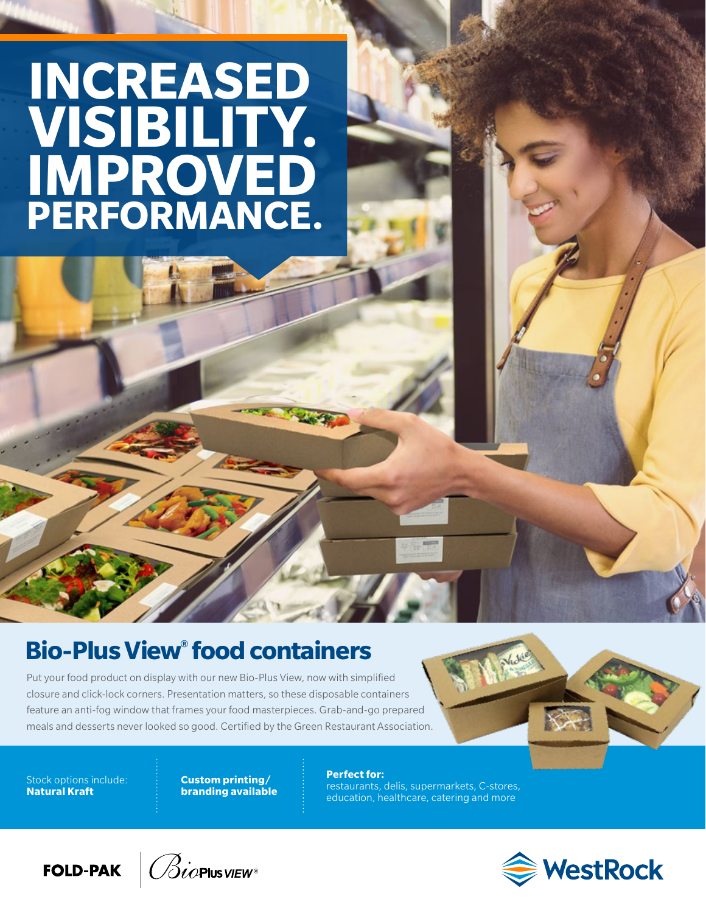## **INCREASED VISIBILITY. IMPROVED PERFORMANCE.**

## **Bio-Plus View® food containers**

Put your food product on display with our new Bio-Plus View, now with simplified closure and click-lock corners. Presentation matters, so these disposable containers feature an anti-fog window that frames your food masterpieces. Grab-and-go prepared meals and desserts never looked so good. Certified by the Green Restaurant Association.

Stock options include: **Natural Kraft**

**Custom printing/ branding available** **Perfect for:**  restaurants, delis, supermarkets, C-stores, education, healthcare, catering and more